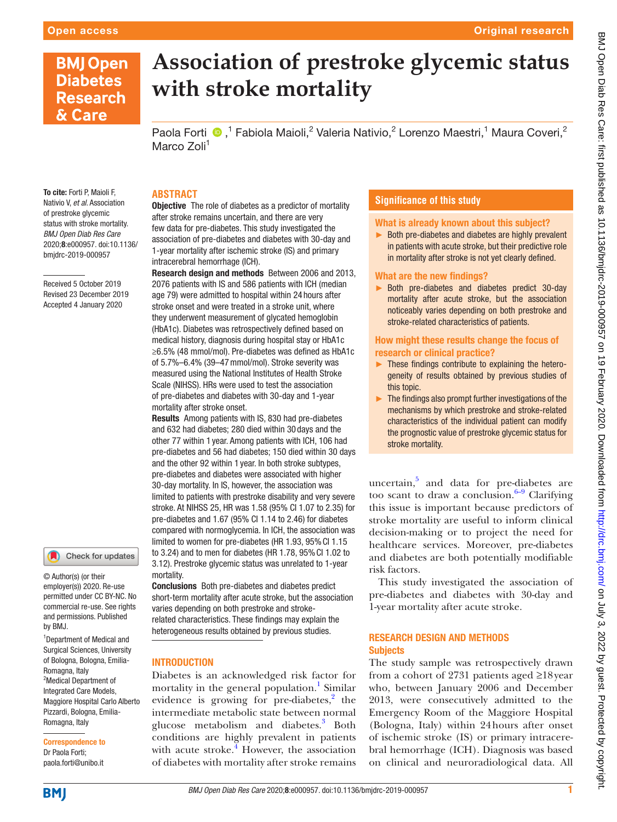# **BMJ Open Diabetes Research** & Care

# **Association of prestroke glycemic status with stroke mortality**

Paola Forti <sup>®</sup>,<sup>1</sup> Fabiola Maioli,<sup>2</sup> Valeria Nativio,<sup>2</sup> Lorenzo Maestri,<sup>1</sup> Maura Coveri,<sup>2</sup> Marco Zoli<sup>1</sup>

To cite: Forti P, Maioli F, Nativio V, *et al*. Association of prestroke glycemic status with stroke mortality. *BMJ Open Diab Res Care* 2020;8:e000957. doi:10.1136/ bmjdrc-2019-000957

Received 5 October 2019 Revised 23 December 2019 Accepted 4 January 2020



© Author(s) (or their employer(s)) 2020. Re-use permitted under CC BY-NC. No commercial re-use. See rights and permissions. Published by BMJ.

1 Department of Medical and Surgical Sciences, University of Bologna, Bologna, Emilia-Romagna, Italy <sup>2</sup>Medical Department of Integrated Care Models, Maggiore Hospital Carlo Alberto Pizzardi, Bologna, Emilia-Romagna, Italy

Correspondence to Dr Paola Forti; paola.forti@unibo.it

### **Abstract**

**Objective** The role of diabetes as a predictor of mortality after stroke remains uncertain, and there are very few data for pre-diabetes. This study investigated the association of pre-diabetes and diabetes with 30-day and 1-year mortality after ischemic stroke (IS) and primary intracerebral hemorrhage (ICH).

Research design and methods Between 2006 and 2013, 2076 patients with IS and 586 patients with ICH (median age 79) were admitted to hospital within 24 hours after stroke onset and were treated in a stroke unit, where they underwent measurement of glycated hemoglobin (HbA1c). Diabetes was retrospectively defined based on medical history, diagnosis during hospital stay or HbA1c ≥6.5% (48 mmol/mol). Pre-diabetes was defined as HbA1c of 5.7%–6.4% (39–47mmol/mol). Stroke severity was measured using the National Institutes of Health Stroke Scale (NIHSS). HRs were used to test the association of pre-diabetes and diabetes with 30-day and 1-year mortality after stroke onset.

Results Among patients with IS, 830 had pre-diabetes and 632 had diabetes; 280 died within 30 days and the other 77 within 1 year. Among patients with ICH, 106 had pre-diabetes and 56 had diabetes; 150 died within 30 days and the other 92 within 1 year. In both stroke subtypes, pre-diabetes and diabetes were associated with higher 30-day mortality. In IS, however, the association was limited to patients with prestroke disability and very severe stroke. At NIHSS 25, HR was 1.58 (95% CI 1.07 to 2.35) for pre-diabetes and 1.67 (95% CI 1.14 to 2.46) for diabetes compared with normoglycemia. In ICH, the association was limited to women for pre-diabetes (HR 1.93, 95%CI 1.15 to 3.24) and to men for diabetes (HR 1.78, 95%CI 1.02 to 3.12). Prestroke glycemic status was unrelated to 1-year mortality.

Conclusions Both pre-diabetes and diabetes predict short-term mortality after acute stroke, but the association varies depending on both prestroke and strokerelated characteristics. These findings may explain the heterogeneous results obtained by previous studies.

#### **INTRODUCTION**

Diabetes is an acknowledged risk factor for mortality in the general population.<sup>1</sup> Similar evidence is growing for pre-diabetes, $2$  the intermediate metabolic state between normal glucose metabolism and diabetes.<sup>[3](#page-4-2)</sup> Both conditions are highly prevalent in patients with acute stroke. $\frac{4}{3}$  However, the association of diabetes with mortality after stroke remains

#### **Significance of this study**

## What is already known about this subject?

► Both pre-diabetes and diabetes are highly prevalent in patients with acute stroke, but their predictive role in mortality after stroke is not yet clearly defined.

#### What are the new findings?

► Both pre-diabetes and diabetes predict 30-day mortality after acute stroke, but the association noticeably varies depending on both prestroke and stroke-related characteristics of patients.

#### How might these results change the focus of research or clinical practice?

- ► These findings contribute to explaining the heterogeneity of results obtained by previous studies of this topic.
- $\blacktriangleright$  The findings also prompt further investigations of the mechanisms by which prestroke and stroke-related characteristics of the individual patient can modify the prognostic value of prestroke glycemic status for stroke mortality.

uncertain,<sup>5</sup> and data for pre-diabetes are too scant to draw a conclusion. $6-9$  Clarifying this issue is important because predictors of stroke mortality are useful to inform clinical decision-making or to project the need for healthcare services. Moreover, pre-diabetes and diabetes are both potentially modifiable risk factors.

This study investigated the association of pre-diabetes and diabetes with 30-day and 1-year mortality after acute stroke.

#### Research design and methods **Subjects**

The study sample was retrospectively drawn from a cohort of 2731 patients aged ≥18year who, between January 2006 and December 2013, were consecutively admitted to the Emergency Room of the Maggiore Hospital (Bologna, Italy) within 24hours after onset of ischemic stroke (IS) or primary intracerebral hemorrhage (ICH). Diagnosis was based on clinical and neuroradiological data. All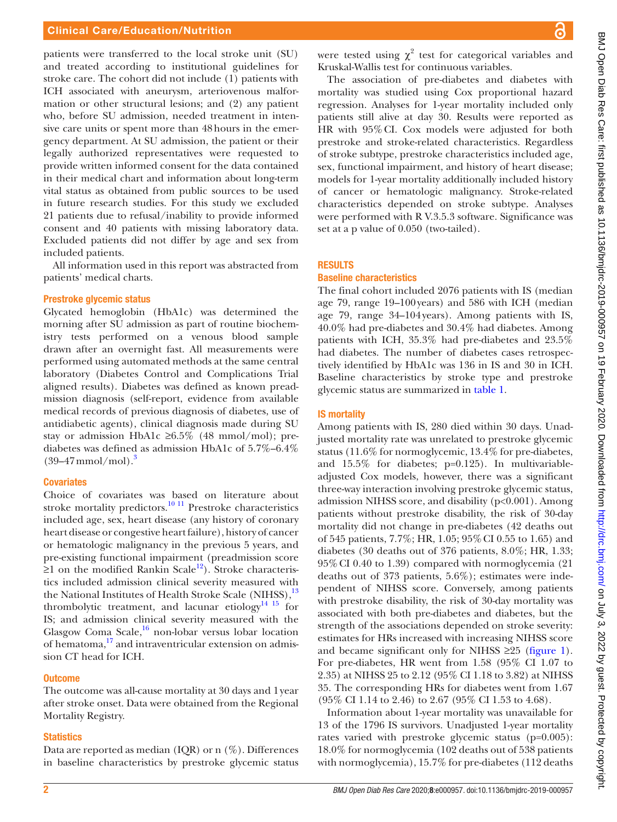#### Clinical Care/Education/Nutrition

patients were transferred to the local stroke unit (SU) and treated according to institutional guidelines for stroke care. The cohort did not include (1) patients with ICH associated with aneurysm, arteriovenous malformation or other structural lesions; and (2) any patient who, before SU admission, needed treatment in intensive care units or spent more than 48hours in the emergency department. At SU admission, the patient or their legally authorized representatives were requested to provide written informed consent for the data contained in their medical chart and information about long-term vital status as obtained from public sources to be used in future research studies. For this study we excluded 21 patients due to refusal/inability to provide informed consent and 40 patients with missing laboratory data. Excluded patients did not differ by age and sex from included patients.

All information used in this report was abstracted from patients' medical charts.

#### Prestroke glycemic status

Glycated hemoglobin (HbA1c) was determined the morning after SU admission as part of routine biochemistry tests performed on a venous blood sample drawn after an overnight fast. All measurements were performed using automated methods at the same central laboratory (Diabetes Control and Complications Trial aligned results). Diabetes was defined as known preadmission diagnosis (self-report, evidence from available medical records of previous diagnosis of diabetes, use of antidiabetic agents), clinical diagnosis made during SU stay or admission HbA1c ≥6.5% (48 mmol/mol); prediabetes was defined as admission HbA1c of 5.7%–6.4%  $(39-47$  $(39-47$  $(39-47$  mmol/mol).<sup>3</sup>

#### **Covariates**

Choice of covariates was based on literature about stroke mortality predictors.<sup>[10 11](#page-4-6)</sup> Prestroke characteristics included age, sex, heart disease (any history of coronary heart disease or congestive heart failure), history of cancer or hematologic malignancy in the previous 5 years, and pre-existing functional impairment (preadmission score  $≥1$  on the modified Rankin Scale<sup>12</sup>). Stroke characteristics included admission clinical severity measured with the National Institutes of Health Stroke Scale (NIHSS),<sup>[13](#page-4-8)</sup> thrombolytic treatment, and lacunar etiology<sup>14 15</sup> for IS; and admission clinical severity measured with the Glasgow Coma Scale, $16$  non-lobar versus lobar location of hematoma,[17](#page-4-11) and intraventricular extension on admission CT head for ICH.

#### **Outcome**

The outcome was all-cause mortality at 30 days and 1year after stroke onset. Data were obtained from the Regional Mortality Registry.

#### **Statistics**

Data are reported as median (IQR) or n  $(\%)$ . Differences in baseline characteristics by prestroke glycemic status

were tested using  $\chi^2$  test for categorical variables and Kruskal-Wallis test for continuous variables.

The association of pre-diabetes and diabetes with mortality was studied using Cox proportional hazard regression. Analyses for 1-year mortality included only patients still alive at day 30. Results were reported as HR with 95%CI. Cox models were adjusted for both prestroke and stroke-related characteristics. Regardless of stroke subtype, prestroke characteristics included age, sex, functional impairment, and history of heart disease; models for 1-year mortality additionally included history of cancer or hematologic malignancy. Stroke-related characteristics depended on stroke subtype. Analyses were performed with R V.3.5.3 software. Significance was set at a p value of 0.050 (two-tailed).

#### **RESULTS**

#### Baseline characteristics

The final cohort included 2076 patients with IS (median age 79, range 19–100years) and 586 with ICH (median age 79, range 34–104years). Among patients with IS, 40.0% had pre-diabetes and 30.4% had diabetes. Among patients with ICH, 35.3% had pre-diabetes and 23.5% had diabetes. The number of diabetes cases retrospectively identified by HbA1c was 136 in IS and 30 in ICH. Baseline characteristics by stroke type and prestroke glycemic status are summarized in [table](#page-2-0) 1.

#### IS mortality

Among patients with IS, 280 died within 30 days. Unadjusted mortality rate was unrelated to prestroke glycemic status (11.6% for normoglycemic, 13.4% for pre-diabetes, and 15.5% for diabetes; p=0.125). In multivariableadjusted Cox models, however, there was a significant three-way interaction involving prestroke glycemic status, admission NIHSS score, and disability (p<0.001). Among patients without prestroke disability, the risk of 30-day mortality did not change in pre-diabetes (42 deaths out of 545 patients, 7.7%; HR, 1.05; 95%CI 0.55 to 1.65) and diabetes (30 deaths out of 376 patients, 8.0%; HR, 1.33; 95%CI 0.40 to 1.39) compared with normoglycemia (21 deaths out of 373 patients, 5.6%); estimates were independent of NIHSS score. Conversely, among patients with prestroke disability, the risk of 30-day mortality was associated with both pre-diabetes and diabetes, but the strength of the associations depended on stroke severity: estimates for HRs increased with increasing NIHSS score and became significant only for NIHSS  $\geq 25$  [\(figure](#page-3-0) 1). For pre-diabetes, HR went from 1.58 (95% CI 1.07 to 2.35) at NIHSS 25 to 2.12 (95% CI 1.18 to 3.82) at NIHSS 35. The corresponding HRs for diabetes went from 1.67 (95% CI 1.14 to 2.46) to 2.67 (95% CI 1.53 to 4.68).

Information about 1-year mortality was unavailable for 13 of the 1796 IS survivors. Unadjusted 1-year mortality rates varied with prestroke glycemic status (p=0.005): 18.0% for normoglycemia (102 deaths out of 538 patients with normoglycemia), 15.7% for pre-diabetes (112 deaths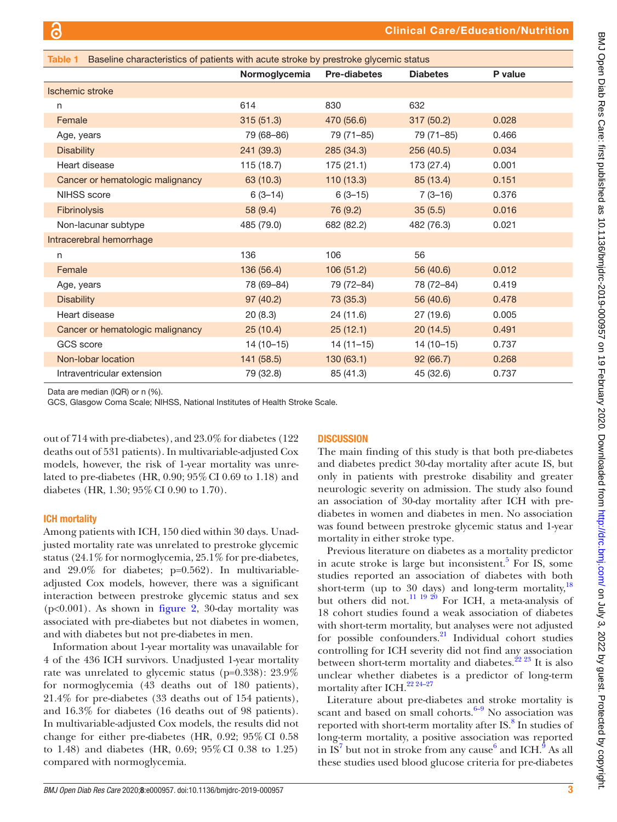<span id="page-2-0"></span>

| Table 1 Baseline characteristics of patients with acute stroke by prestroke glycemic status |               |                     |                 |         |
|---------------------------------------------------------------------------------------------|---------------|---------------------|-----------------|---------|
|                                                                                             | Normoglycemia | <b>Pre-diabetes</b> | <b>Diabetes</b> | P value |
| Ischemic stroke                                                                             |               |                     |                 |         |
| n                                                                                           | 614           | 830                 | 632             |         |
| Female                                                                                      | 315(51.3)     | 470 (56.6)          | 317 (50.2)      | 0.028   |
| Age, years                                                                                  | 79 (68-86)    | 79 (71-85)          | 79 (71-85)      | 0.466   |
| <b>Disability</b>                                                                           | 241 (39.3)    | 285 (34.3)          | 256 (40.5)      | 0.034   |
| Heart disease                                                                               | 115(18.7)     | 175(21.1)           | 173 (27.4)      | 0.001   |
| Cancer or hematologic malignancy                                                            | 63 (10.3)     | 110(13.3)           | 85 (13.4)       | 0.151   |
| <b>NIHSS</b> score                                                                          | $6(3-14)$     | $6(3-15)$           | $7(3-16)$       | 0.376   |
| Fibrinolysis                                                                                | 58 (9.4)      | 76 (9.2)            | 35(5.5)         | 0.016   |
| Non-lacunar subtype                                                                         | 485 (79.0)    | 682 (82.2)          | 482 (76.3)      | 0.021   |
| Intracerebral hemorrhage                                                                    |               |                     |                 |         |
| n                                                                                           | 136           | 106                 | 56              |         |
| Female                                                                                      | 136 (56.4)    | 106(51.2)           | 56 (40.6)       | 0.012   |
| Age, years                                                                                  | 78 (69-84)    | 79 (72-84)          | 78 (72-84)      | 0.419   |
| <b>Disability</b>                                                                           | 97 (40.2)     | 73 (35.3)           | 56 (40.6)       | 0.478   |
| Heart disease                                                                               | 20(8.3)       | 24 (11.6)           | 27 (19.6)       | 0.005   |
| Cancer or hematologic malignancy                                                            | 25(10.4)      | 25(12.1)            | 20(14.5)        | 0.491   |
| <b>GCS</b> score                                                                            | $14(10-15)$   | $14(11-15)$         | $14(10-15)$     | 0.737   |
| Non-lobar location                                                                          | 141 (58.5)    | 130(63.1)           | 92(66.7)        | 0.268   |
| Intraventricular extension                                                                  | 79 (32.8)     | 85 (41.3)           | 45 (32.6)       | 0.737   |

Data are median (IQR) or n (%).

GCS, Glasgow Coma Scale; NIHSS, National Institutes of Health Stroke Scale.

out of 714 with pre-diabetes), and 23.0% for diabetes (122 deaths out of 531 patients). In multivariable-adjusted Cox models, however, the risk of 1-year mortality was unrelated to pre-diabetes (HR, 0.90; 95%CI 0.69 to 1.18) and diabetes (HR, 1.30; 95%CI 0.90 to 1.70).

#### ICH mortality

Among patients with ICH, 150 died within 30 days. Unadjusted mortality rate was unrelated to prestroke glycemic status (24.1% for normoglycemia, 25.1% for pre-diabetes, and 29.0% for diabetes; p=0.562). In multivariableadjusted Cox models, however, there was a significant interaction between prestroke glycemic status and sex (p<0.001). As shown in [figure](#page-3-1) 2, 30-day mortality was associated with pre-diabetes but not diabetes in women, and with diabetes but not pre-diabetes in men.

Information about 1-year mortality was unavailable for 4 of the 436 ICH survivors. Unadjusted 1-year mortality rate was unrelated to glycemic status (p=0.338): 23.9% for normoglycemia (43 deaths out of 180 patients), 21.4% for pre-diabetes (33 deaths out of 154 patients), and 16.3% for diabetes (16 deaths out of 98 patients). In multivariable-adjusted Cox models, the results did not change for either pre-diabetes (HR, 0.92; 95%CI 0.58 to 1.48) and diabetes (HR, 0.69; 95%CI 0.38 to 1.25) compared with normoglycemia.

#### **DISCUSSION**

The main finding of this study is that both pre-diabetes and diabetes predict 30-day mortality after acute IS, but only in patients with prestroke disability and greater neurologic severity on admission. The study also found an association of 30-day mortality after ICH with prediabetes in women and diabetes in men. No association was found between prestroke glycemic status and 1-year mortality in either stroke type.

Previous literature on diabetes as a mortality predictor in acute stroke is large but inconsistent.<sup>5</sup> For IS, some studies reported an association of diabetes with both short-term (up to 30 days) and long-term mortality, $18$ but others did not.<sup>11 19 20</sup> For ICH, a meta-analysis of 18 cohort studies found a weak association of diabetes with short-term mortality, but analyses were not adjusted for possible confounders. $21$  Individual cohort studies controlling for ICH severity did not find any association between short-term mortality and diabetes.<sup> $22\frac{23}{1}$ </sup> It is also unclear whether diabetes is a predictor of long-term mortality after ICH.<sup>22 24-27</sup>

Literature about pre-diabetes and stroke mortality is scant and based on small cohorts. $6-9$  No association was reported with short-term mortality after IS.<sup>[8](#page-4-14)</sup> In studies of long-term mortality, a positive association was reported in  $\overline{IS}^7$  $\overline{IS}^7$  but not in stroke from any cause<sup>[6](#page-4-5)</sup> and ICH.<sup>[9](#page-4-16)</sup> As all these studies used blood glucose criteria for pre-diabetes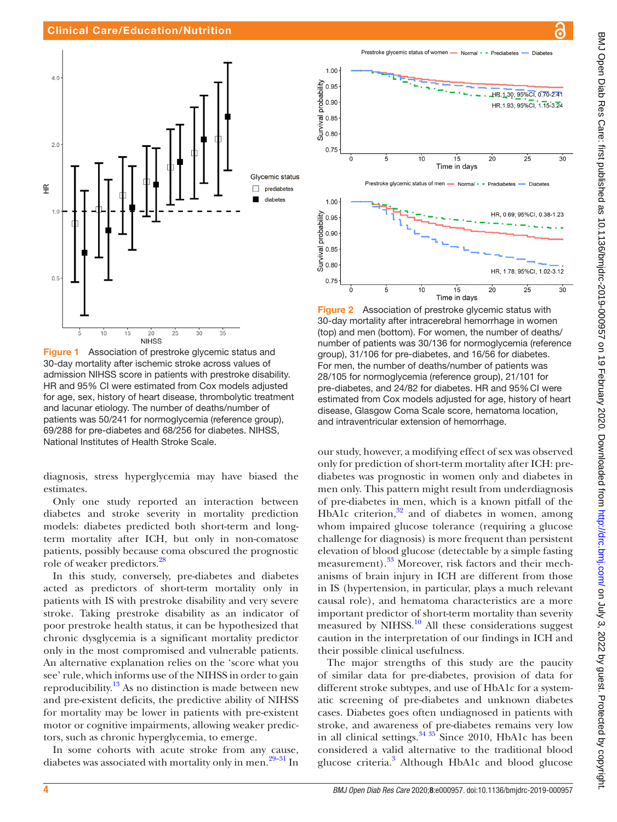

<span id="page-3-0"></span>Figure 1 Association of prestroke glycemic status and 30-day mortality after ischemic stroke across values of admission NIHSS score in patients with prestroke disability. HR and 95% CI were estimated from Cox models adjusted for age, sex, history of heart disease, thrombolytic treatment and lacunar etiology. The number of deaths/number of patients was 50/241 for normoglycemia (reference group), 69/288 for pre-diabetes and 68/256 for diabetes. NIHSS, National Institutes of Health Stroke Scale.

diagnosis, stress hyperglycemia may have biased the estimates.

Only one study reported an interaction between diabetes and stroke severity in mortality prediction models: diabetes predicted both short-term and longterm mortality after ICH, but only in non-comatose patients, possibly because coma obscured the prognostic role of weaker predictors[.28](#page-5-2)

In this study, conversely, pre-diabetes and diabetes acted as predictors of short-term mortality only in patients with IS with prestroke disability and very severe stroke. Taking prestroke disability as an indicator of poor prestroke health status, it can be hypothesized that chronic dysglycemia is a significant mortality predictor only in the most compromised and vulnerable patients. An alternative explanation relies on the 'score what you see' rule, which informs use of the NIHSS in order to gain reproducibility.<sup>13</sup> As no distinction is made between new and pre-existent deficits, the predictive ability of NIHSS for mortality may be lower in patients with pre-existent motor or cognitive impairments, allowing weaker predictors, such as chronic hyperglycemia, to emerge.

In some cohorts with acute stroke from any cause, diabetes was associated with mortality only in men.<sup>29–31</sup> In

a Prestroke glycemic status of women - Normal - - Prediabetes Diabete HR, 1,30; 95%CI, 0.70-2.41 HR.1.93: 95%CI. 1.15-3.24

1.00

 $0.90$ 

 $\frac{a}{\sqrt{2}}$  0.85<br> $\frac{b}{\sqrt{2}}$  0.80

probability `n ar



<span id="page-3-1"></span>Figure 2 Association of prestroke glycemic status with 30-day mortality after intracerebral hemorrhage in women (top) and men (bottom). For women, the number of deaths/ number of patients was 30/136 for normoglycemia (reference group), 31/106 for pre-diabetes, and 16/56 for diabetes. For men, the number of deaths/number of patients was 28/105 for normoglycemia (reference group), 21/101 for pre-diabetes, and 24/82 for diabetes. HR and 95% CI were estimated from Cox models adjusted for age, history of heart disease, Glasgow Coma Scale score, hematoma location, and intraventricular extension of hemorrhage.

our study, however, a modifying effect of sex was observed only for prediction of short-term mortality after ICH: prediabetes was prognostic in women only and diabetes in men only. This pattern might result from underdiagnosis of pre-diabetes in men, which is a known pitfall of the HbA1c criterion, $32$  and of diabetes in women, among whom impaired glucose tolerance (requiring a glucose challenge for diagnosis) is more frequent than persistent elevation of blood glucose (detectable by a simple fasting measurement).<sup>33</sup> Moreover, risk factors and their mechanisms of brain injury in ICH are different from those in IS (hypertension, in particular, plays a much relevant causal role), and hematoma characteristics are a more important predictor of short-term mortality than severity measured by NIHSS.<sup>10</sup> All these considerations suggest caution in the interpretation of our findings in ICH and their possible clinical usefulness.

The major strengths of this study are the paucity of similar data for pre-diabetes, provision of data for different stroke subtypes, and use of HbA1c for a systematic screening of pre-diabetes and unknown diabetes cases. Diabetes goes often undiagnosed in patients with stroke, and awareness of pre-diabetes remains very low in all clinical settings. $3435$  Since 2010, HbA1c has been considered a valid alternative to the traditional blood glucose criteria.<sup>3</sup> Although HbA1c and blood glucose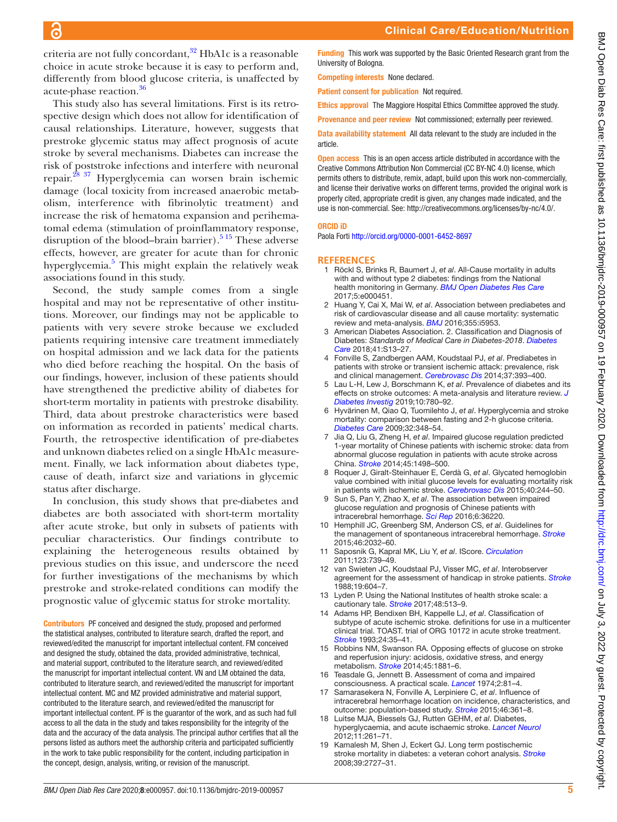criteria are not fully concordant, $32$  HbA1c is a reasonable choice in acute stroke because it is easy to perform and, differently from blood glucose criteria, is unaffected by acute-phase reaction[.36](#page-5-7)

This study also has several limitations. First is its retrospective design which does not allow for identification of causal relationships. Literature, however, suggests that prestroke glycemic status may affect prognosis of acute stroke by several mechanisms. Diabetes can increase the risk of poststroke infections and interfere with neuronal repair[.28 37](#page-5-2) Hyperglycemia can worsen brain ischemic damage (local toxicity from increased anaerobic metabolism, interference with fibrinolytic treatment) and increase the risk of hematoma expansion and perihematomal edema (stimulation of proinflammatory response, disruption of the blood–brain barrier).<sup>5 15</sup> These adverse effects, however, are greater for acute than for chronic hyperglycemia.<sup>[5](#page-4-4)</sup> This might explain the relatively weak associations found in this study.

Second, the study sample comes from a single hospital and may not be representative of other institutions. Moreover, our findings may not be applicable to patients with very severe stroke because we excluded patients requiring intensive care treatment immediately on hospital admission and we lack data for the patients who died before reaching the hospital. On the basis of our findings, however, inclusion of these patients should have strengthened the predictive ability of diabetes for short-term mortality in patients with prestroke disability. Third, data about prestroke characteristics were based on information as recorded in patients' medical charts. Fourth, the retrospective identification of pre-diabetes and unknown diabetes relied on a single HbA1c measurement. Finally, we lack information about diabetes type, cause of death, infarct size and variations in glycemic status after discharge.

In conclusion, this study shows that pre-diabetes and diabetes are both associated with short-term mortality after acute stroke, but only in subsets of patients with peculiar characteristics. Our findings contribute to explaining the heterogeneous results obtained by previous studies on this issue, and underscore the need for further investigations of the mechanisms by which prestroke and stroke-related conditions can modify the prognostic value of glycemic status for stroke mortality.

Contributors PF conceived and designed the study, proposed and performed the statistical analyses, contributed to literature search, drafted the report, and reviewed/edited the manuscript for important intellectual content. FM conceived and designed the study, obtained the data, provided administrative, technical, and material support, contributed to the literature search, and reviewed/edited the manuscript for important intellectual content. VN and LM obtained the data, contributed to literature search, and reviewed/edited the manuscript for important intellectual content. MC and MZ provided administrative and material support, contributed to the literature search, and reviewed/edited the manuscript for important intellectual content. PF is the guarantor of the work, and as such had full access to all the data in the study and takes responsibility for the integrity of the data and the accuracy of the data analysis. The principal author certifies that all the persons listed as authors meet the authorship criteria and participated sufficiently in the work to take public responsibility for the content, including participation in the concept, design, analysis, writing, or revision of the manuscript.

Funding This work was supported by the Basic Oriented Research grant from the University of Bologna.

Competing interests None declared.

Patient consent for publication Not required.

Ethics approval The Maggiore Hospital Ethics Committee approved the study.

Provenance and peer review Not commissioned; externally peer reviewed.

Data availability statement All data relevant to the study are included in the article.

Open access This is an open access article distributed in accordance with the Creative Commons Attribution Non Commercial (CC BY-NC 4.0) license, which permits others to distribute, remix, adapt, build upon this work non-commercially, and license their derivative works on different terms, provided the original work is properly cited, appropriate credit is given, any changes made indicated, and the use is non-commercial. See:<http://creativecommons.org/licenses/by-nc/4.0/>.

#### ORCID iD

Paola Forti <http://orcid.org/0000-0001-6452-8697>

#### **References**

- <span id="page-4-0"></span>1 Röckl S, Brinks R, Baumert J, *et al*. All-Cause mortality in adults with and without type 2 diabetes: findings from the National health monitoring in Germany. *[BMJ Open Diabetes Res Care](http://dx.doi.org/10.1136/bmjdrc-2017-000451)* 2017;5:e000451.
- <span id="page-4-1"></span>2 Huang Y, Cai X, Mai W, *et al*. Association between prediabetes and risk of cardiovascular disease and all cause mortality: systematic review and meta-analysis. *[BMJ](http://dx.doi.org/10.1136/bmj.i5953)* 2016;355:i5953.
- <span id="page-4-2"></span>3 American Diabetes Association. 2. Classification and Diagnosis of Diabetes: *Standards of Medical Care in Diabetes-2018*. *[Diabetes](http://dx.doi.org/10.2337/dc18-S002)  [Care](http://dx.doi.org/10.2337/dc18-S002)* 2018;41:S13–27.
- <span id="page-4-3"></span>4 Fonville S, Zandbergen AAM, Koudstaal PJ, *et al*. Prediabetes in patients with stroke or transient ischemic attack: prevalence, risk and clinical management. *[Cerebrovasc Dis](http://dx.doi.org/10.1159/000360810)* 2014;37:393–400.
- <span id="page-4-4"></span>5 Lau L-H, Lew J, Borschmann K, *et al*. Prevalence of diabetes and its effects on stroke outcomes: A meta-analysis and literature review. *[J](http://dx.doi.org/10.1111/jdi.12932)  [Diabetes Investig](http://dx.doi.org/10.1111/jdi.12932)* 2019;10:780–92.
- <span id="page-4-5"></span>6 Hyvärinen M, Qiao Q, Tuomilehto J, *et al*. Hyperglycemia and stroke mortality: comparison between fasting and 2-h glucose criteria. *[Diabetes Care](http://dx.doi.org/10.2337/dc08-1411)* 2009;32:348–54.
- <span id="page-4-15"></span>7 Jia Q, Liu G, Zheng H, *et al*. Impaired glucose regulation predicted 1-year mortality of Chinese patients with ischemic stroke: data from abnormal glucose regulation in patients with acute stroke across China. *[Stroke](http://dx.doi.org/10.1161/STROKEAHA.113.002977)* 2014;45:1498–500.
- <span id="page-4-14"></span>8 Roquer J, Giralt-Steinhauer E, Cerdà G, *et al*. Glycated hemoglobin value combined with initial glucose levels for evaluating mortality risk in patients with ischemic stroke. *[Cerebrovasc Dis](http://dx.doi.org/10.1159/000440735)* 2015;40:244–50.
- <span id="page-4-16"></span>9 Sun S, Pan Y, Zhao X, *et al*. The association between impaired glucose regulation and prognosis of Chinese patients with intracerebral hemorrhage. *[Sci Rep](http://dx.doi.org/10.1038/srep36220)* 2016;6:36220.
- <span id="page-4-6"></span>10 Hemphill JC, Greenberg SM, Anderson CS, *et al*. Guidelines for the management of spontaneous intracerebral hemorrhage. *[Stroke](http://dx.doi.org/10.1161/STR.0000000000000069)* 2015;46:2032–60.
- <span id="page-4-13"></span>11 Saposnik G, Kapral MK, Liu Y, *et al*. IScore. *[Circulation](http://dx.doi.org/10.1161/CIRCULATIONAHA.110.983353)* 2011;123:739–49.
- <span id="page-4-7"></span>12 van Swieten JC, Koudstaal PJ, Visser MC, *et al*. Interobserver agreement for the assessment of handicap in stroke patients. *[Stroke](http://dx.doi.org/10.1161/01.STR.19.5.604)* 1988;19:604–7.
- <span id="page-4-8"></span>13 Lyden P. Using the National Institutes of health stroke scale: a cautionary tale. *[Stroke](http://dx.doi.org/10.1161/STROKEAHA.116.015434)* 2017;48:513–9.
- <span id="page-4-9"></span>14 Adams HP, Bendixen BH, Kappelle LJ, *et al*. Classification of subtype of acute ischemic stroke. definitions for use in a multicenter clinical trial. TOAST. trial of ORG 10172 in acute stroke treatment. *[Stroke](http://dx.doi.org/10.1161/01.STR.24.1.35)* 1993;24:35–41.
- 15 Robbins NM, Swanson RA. Opposing effects of glucose on stroke and reperfusion injury: acidosis, oxidative stress, and energy metabolism. *[Stroke](http://dx.doi.org/10.1161/STROKEAHA.114.004889)* 2014;45:1881–6.
- <span id="page-4-10"></span>16 Teasdale G, Jennett B. Assessment of coma and impaired consciousness. A practical scale. *[Lancet](http://dx.doi.org/10.1016/s0140-6736(74)91639-0)* 1974;2:81–4.
- <span id="page-4-11"></span>17 Samarasekera N, Fonville A, Lerpiniere C, *et al*. Influence of intracerebral hemorrhage location on incidence, characteristics, and outcome: population-based study. *[Stroke](http://dx.doi.org/10.1161/STROKEAHA.114.007953)* 2015;46:361–8.
- <span id="page-4-12"></span>18 Luitse MJA, Biessels GJ, Rutten GEHM, *et al*. Diabetes, hyperglycaemia, and acute ischaemic stroke. *[Lancet Neurol](http://dx.doi.org/10.1016/S1474-4422(12)70005-4)* 2012;11:261–71.
- 19 Kamalesh M, Shen J, Eckert GJ. Long term postischemic stroke mortality in diabetes: a veteran cohort analysis. *[Stroke](http://dx.doi.org/10.1161/STROKEAHA.108.517441)* 2008;39:2727–31.